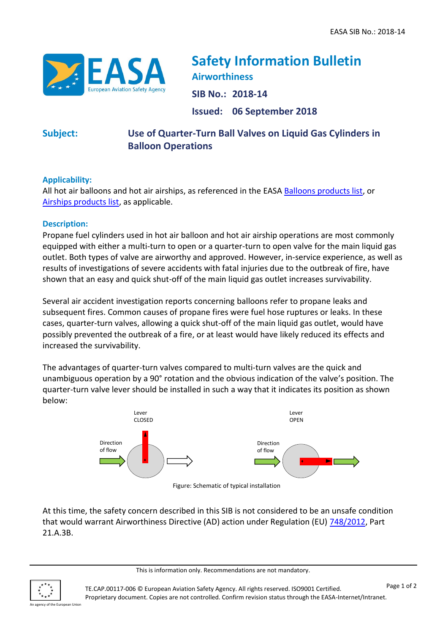

# **Safety Information Bulletin Airworthiness**

**SIB No.: 2018-14**

**Issued: 06 September 2018**

## **Subject: Use of Quarter-Turn Ball Valves on Liquid Gas Cylinders in Balloon Operations**

### **Applicability:**

All hot air balloons and hot air airships, as referenced in the EASA [Balloons products list,](https://www.easa.europa.eu/download/easa-product-lists/EASA-PRODUCT-LIST-Balloons.pdf) or [Airships products list,](http://easa.europa.eu/download/easa-product-lists/EASA-PRODUCT-LIST-Airships.pdf) as applicable.

## **Description:**

Propane fuel cylinders used in hot air balloon and hot air airship operations are most commonly equipped with either a multi-turn to open or a quarter-turn to open valve for the main liquid gas outlet. Both types of valve are airworthy and approved. However, in-service experience, as well as results of investigations of severe accidents with fatal injuries due to the outbreak of fire, have shown that an easy and quick shut-off of the main liquid gas outlet increases survivability.

Several air accident investigation reports concerning balloons refer to propane leaks and subsequent fires. Common causes of propane fires were fuel hose ruptures or leaks. In these cases, quarter-turn valves, allowing a quick shut-off of the main liquid gas outlet, would have possibly prevented the outbreak of a fire, or at least would have likely reduced its effects and increased the survivability.

The advantages of quarter-turn valves compared to multi-turn valves are the quick and unambiguous operation by a 90° rotation and the obvious indication of the valve's position. The quarter-turn valve lever should be installed in such a way that it indicates its position as shown below:



Figure: Schematic of typical installation

At this time, the safety concern described in this SIB is not considered to be an unsafe condition that would warrant Airworthiness Directive (AD) action under Regulation (EU) [748/2012,](http://eur-lex.europa.eu/LexUriServ/LexUriServ.do?uri=OJ:L:2012:224:0001:0085:EN:PDF) Part 21.A.3B.